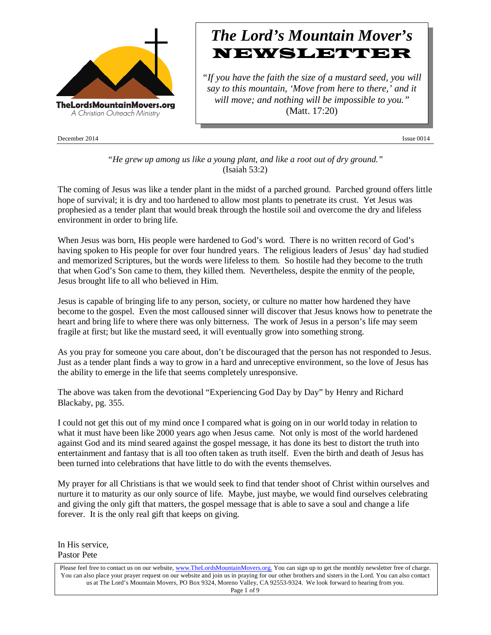

December 2014 Issue 0014

# *The Lord's Mountain Mover's* NEWSLETTER

*"If you have the faith the size of a mustard seed, you will say to this mountain, 'Move from here to there,' and it will move; and nothing will be impossible to you."* (Matt. 17:20)

*"He grew up among us like a young plant, and like a root out of dry ground."* (Isaiah 53:2)

The coming of Jesus was like a tender plant in the midst of a parched ground. Parched ground offers little hope of survival; it is dry and too hardened to allow most plants to penetrate its crust. Yet Jesus was prophesied as a tender plant that would break through the hostile soil and overcome the dry and lifeless environment in order to bring life.

When Jesus was born, His people were hardened to God's word. There is no written record of God's having spoken to His people for over four hundred years. The religious leaders of Jesus' day had studied and memorized Scriptures, but the words were lifeless to them. So hostile had they become to the truth that when God's Son came to them, they killed them. Nevertheless, despite the enmity of the people, Jesus brought life to all who believed in Him.

Jesus is capable of bringing life to any person, society, or culture no matter how hardened they have become to the gospel. Even the most calloused sinner will discover that Jesus knows how to penetrate the heart and bring life to where there was only bitterness. The work of Jesus in a person's life may seem fragile at first; but like the mustard seed, it will eventually grow into something strong.

As you pray for someone you care about, don't be discouraged that the person has not responded to Jesus. Just as a tender plant finds a way to grow in a hard and unreceptive environment, so the love of Jesus has the ability to emerge in the life that seems completely unresponsive.

The above was taken from the devotional "Experiencing God Day by Day" by Henry and Richard Blackaby, pg. 355.

I could not get this out of my mind once I compared what is going on in our world today in relation to what it must have been like 2000 years ago when Jesus came. Not only is most of the world hardened against God and its mind seared against the gospel message, it has done its best to distort the truth into entertainment and fantasy that is all too often taken as truth itself. Even the birth and death of Jesus has been turned into celebrations that have little to do with the events themselves.

My prayer for all Christians is that we would seek to find that tender shoot of Christ within ourselves and nurture it to maturity as our only source of life. Maybe, just maybe, we would find ourselves celebrating and giving the only gift that matters, the gospel message that is able to save a soul and change a life forever. It is the only real gift that keeps on giving.

In His service, Pastor Pete

Please feel free to contact us on our website, ww[w.TheLordsMountainMovers.o](http://www.thelordsmountainmovers.org/)rg. You can sign up to get the monthly newsletter free of charge. You can also place your prayer request on our website and join us in praying for our other brothers and sisters in the Lord. You can also contact us at The Lord's Mountain Movers, PO Box 9324, Moreno Valley, CA 92553-9324. We look forward to hearing from you. Page 1 of 9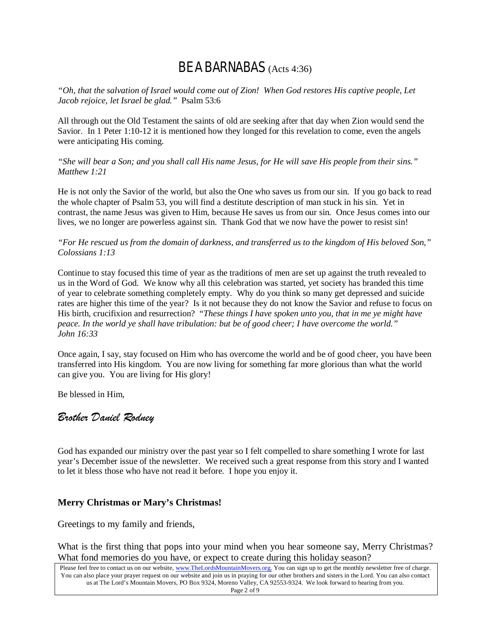# BE A BARNABAS (Acts 4:36)

*"Oh, that the salvation of Israel would come out of Zion! When God restores His captive people, Let Jacob rejoice, let Israel be glad."* Psalm 53:6

All through out the Old Testament the saints of old are seeking after that day when Zion would send the Savior. In 1 Peter 1:10-12 it is mentioned how they longed for this revelation to come, even the angels were anticipating His coming.

*"She will bear a Son; and you shall call His name Jesus, for He will save His people from their sins." Matthew 1:21*

He is not only the Savior of the world, but also the One who saves us from our sin. If you go back to read the whole chapter of Psalm 53, you will find a destitute description of man stuck in his sin. Yet in contrast, the name Jesus was given to Him, because He saves us from our sin. Once Jesus comes into our lives, we no longer are powerless against sin. Thank God that we now have the power to resist sin!

*"For He rescued us from the domain of darkness, and transferred us to the kingdom of His beloved Son," Colossians 1:13*

Continue to stay focused this time of year as the traditions of men are set up against the truth revealed to us in the Word of God. We know why all this celebration was started, yet society has branded this time of year to celebrate something completely empty. Why do you think so many get depressed and suicide rates are higher this time of the year? Is it not because they do not know the Savior and refuse to focus on His birth, crucifixion and resurrection? "*These things I have spoken unto you, that in me ye might have peace. In the world ye shall have tribulation: but be of good cheer; I have overcome the world." John 16:33*

Once again, I say, stay focused on Him who has overcome the world and be of good cheer, you have been transferred into His kingdom. You are now living for something far more glorious than what the world can give you. You are living for His glory!

Be blessed in Him,

# *Brother Daniel Rodney*

God has expanded our ministry over the past year so I felt compelled to share something I wrote for last year's December issue of the newsletter. We received such a great response from this story and I wanted to let it bless those who have not read it before. I hope you enjoy it.

# **Merry Christmas or Mary's Christmas!**

Greetings to my family and friends,

What is the first thing that pops into your mind when you hear someone say, Merry Christmas? What fond memories do you have, or expect to create during this holiday season?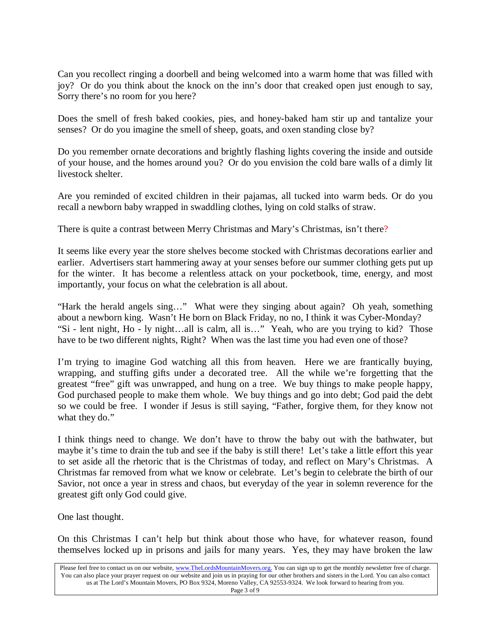Can you recollect ringing a doorbell and being welcomed into a warm home that was filled with joy? Or do you think about the knock on the inn's door that creaked open just enough to say, Sorry there's no room for you here?

Does the smell of fresh baked cookies, pies, and honey-baked ham stir up and tantalize your senses? Or do you imagine the smell of sheep, goats, and oxen standing close by?

Do you remember ornate decorations and brightly flashing lights covering the inside and outside of your house, and the homes around you? Or do you envision the cold bare walls of a dimly lit livestock shelter.

Are you reminded of excited children in their pajamas, all tucked into warm beds. Or do you recall a newborn baby wrapped in swaddling clothes, lying on cold stalks of straw.

There is quite a contrast between Merry Christmas and Mary's Christmas, isn't there?

It seems like every year the store shelves become stocked with Christmas decorations earlier and earlier. Advertisers start hammering away at your senses before our summer clothing gets put up for the winter. It has become a relentless attack on your pocketbook, time, energy, and most importantly, your focus on what the celebration is all about.

"Hark the herald angels sing…" What were they singing about again? Oh yeah, something about a newborn king. Wasn't He born on Black Friday, no no, I think it was Cyber-Monday? "Si - lent night, Ho - ly night…all is calm, all is…" Yeah, who are you trying to kid? Those have to be two different nights, Right? When was the last time you had even one of those?

I'm trying to imagine God watching all this from heaven. Here we are frantically buying, wrapping, and stuffing gifts under a decorated tree. All the while we're forgetting that the greatest "free" gift was unwrapped, and hung on a tree. We buy things to make people happy, God purchased people to make them whole. We buy things and go into debt; God paid the debt so we could be free. I wonder if Jesus is still saying, "Father, forgive them, for they know not what they do."

I think things need to change. We don't have to throw the baby out with the bathwater, but maybe it's time to drain the tub and see if the baby is still there! Let's take a little effort this year to set aside all the rhetoric that is the Christmas of today, and reflect on Mary's Christmas. A Christmas far removed from what we know or celebrate. Let's begin to celebrate the birth of our Savior, not once a year in stress and chaos, but everyday of the year in solemn reverence for the greatest gift only God could give.

One last thought.

On this Christmas I can't help but think about those who have, for whatever reason, found themselves locked up in prisons and jails for many years. Yes, they may have broken the law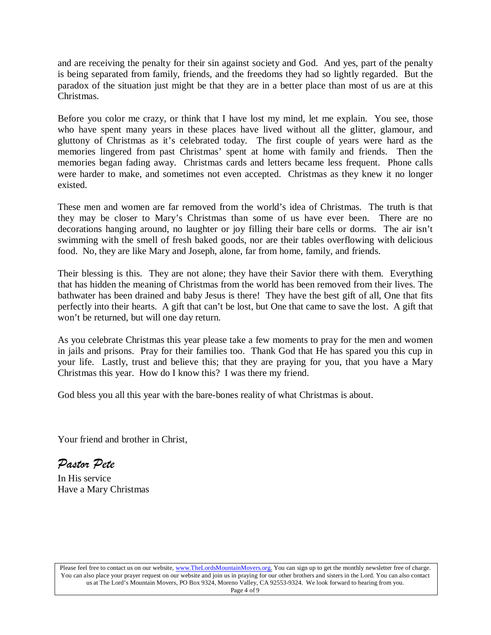and are receiving the penalty for their sin against society and God. And yes, part of the penalty is being separated from family, friends, and the freedoms they had so lightly regarded. But the paradox of the situation just might be that they are in a better place than most of us are at this Christmas.

Before you color me crazy, or think that I have lost my mind, let me explain. You see, those who have spent many years in these places have lived without all the glitter, glamour, and gluttony of Christmas as it's celebrated today. The first couple of years were hard as the memories lingered from past Christmas' spent at home with family and friends. Then the memories began fading away. Christmas cards and letters became less frequent. Phone calls were harder to make, and sometimes not even accepted. Christmas as they knew it no longer existed.

These men and women are far removed from the world's idea of Christmas. The truth is that they may be closer to Mary's Christmas than some of us have ever been. There are no decorations hanging around, no laughter or joy filling their bare cells or dorms. The air isn't swimming with the smell of fresh baked goods, nor are their tables overflowing with delicious food. No, they are like Mary and Joseph, alone, far from home, family, and friends.

Their blessing is this. They are not alone; they have their Savior there with them. Everything that has hidden the meaning of Christmas from the world has been removed from their lives. The bathwater has been drained and baby Jesus is there! They have the best gift of all, One that fits perfectly into their hearts. A gift that can't be lost, but One that came to save the lost. A gift that won't be returned, but will one day return.

As you celebrate Christmas this year please take a few moments to pray for the men and women in jails and prisons. Pray for their families too. Thank God that He has spared you this cup in your life. Lastly, trust and believe this; that they are praying for you, that you have a Mary Christmas this year. How do I know this? I was there my friend.

God bless you all this year with the bare-bones reality of what Christmas is about.

Your friend and brother in Christ,

*Pastor Pete* 

In His service Have a Mary Christmas

Please feel free to contact us on our website, ww[w.TheLordsMountainMovers.o](http://www.thelordsmountainmovers.org/)rg. You can sign up to get the monthly newsletter free of charge. You can also place your prayer request on our website and join us in praying for our other brothers and sisters in the Lord. You can also contact us at The Lord's Mountain Movers, PO Box 9324, Moreno Valley, CA 92553-9324. We look forward to hearing from you. Page 4 of 9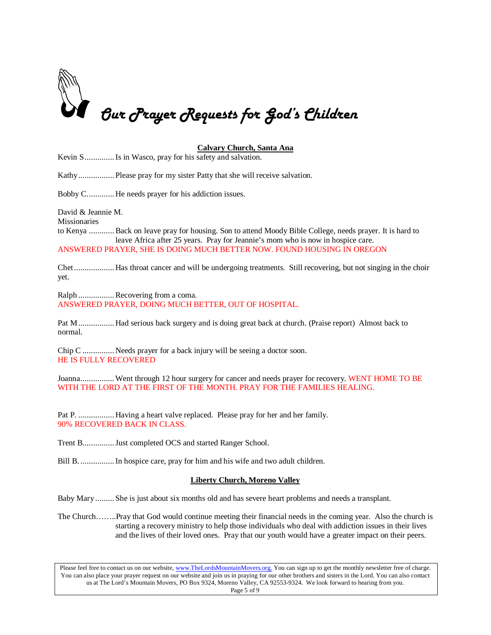

# **Calvary Church, Santa Ana**

Kevin S..............Is in Wasco, pray for his safety and salvation.

Kathy................. Please pray for my sister Patty that she will receive salvation.

Bobby C............. He needs prayer for his addiction issues.

David & Jeannie M.

Missionaries

to Kenya ............Back on leave pray for housing. Son to attend Moody Bible College, needs prayer. It is hard to leave Africa after 25 years. Pray for Jeannie's mom who is now in hospice care. ANSWERED PRAYER, SHE IS DOING MUCH BETTER NOW. FOUND HOUSING IN OREGON

Chet................... Has throat cancer and will be undergoing treatments. Still recovering, but not singing in the choir yet.

Ralph ................. Recovering from a coma. ANSWERED PRAYER, DOING MUCH BETTER, OUT OF HOSPITAL.

Pat M................. Had serious back surgery and is doing great back at church. (Praise report) Almost back to normal.

Chip C ............... Needs prayer for a back injury will be seeing a doctor soon. HE IS FULLY RECOVERED

Joanna................. Went through 12 hour surgery for cancer and needs prayer for recovery. WENT HOME TO BE WITH THE LORD AT THE FIRST OF THE MONTH. PRAY FOR THE FAMILIES HEALING.

Pat P. ................. Having a heart valve replaced. Please pray for her and her family. 90% RECOVERED BACK IN CLASS.

Trent B...............Just completed OCS and started Ranger School.

Bill B. ................In hospice care, pray for him and his wife and two adult children.

# **Liberty Church, Moreno Valley**

Baby Mary......... She is just about six months old and has severe heart problems and needs a transplant.

The Church……..Pray that God would continue meeting their financial needs in the coming year. Also the church is starting a recovery ministry to help those individuals who deal with addiction issues in their lives and the lives of their loved ones. Pray that our youth would have a greater impact on their peers.

Please feel free to contact us on our website, ww[w.TheLordsMountainMovers.o](http://www.thelordsmountainmovers.org/)rg. You can sign up to get the monthly newsletter free of charge. You can also place your prayer request on our website and join us in praying for our other brothers and sisters in the Lord. You can also contact us at The Lord's Mountain Movers, PO Box 9324, Moreno Valley, CA 92553-9324. We look forward to hearing from you. Page 5 of 9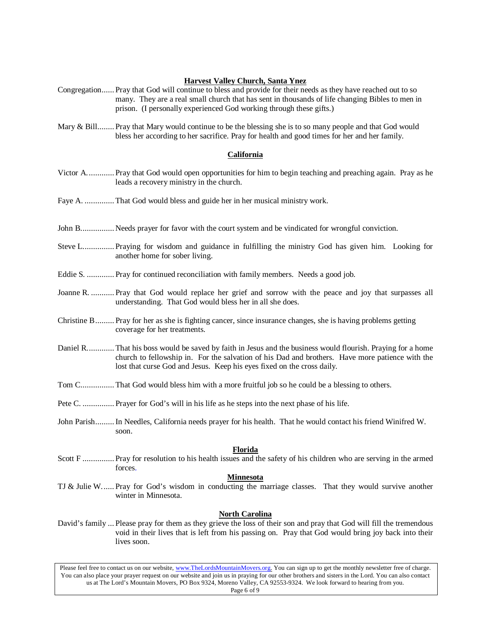# **Harvest Valley Church, Santa Ynez**

- Congregation...... Pray that God will continue to bless and provide for their needs as they have reached out to so many. They are a real small church that has sent in thousands of life changing Bibles to men in prison. (I personally experienced God working through these gifts.)
- Mary & Bill........ Pray that Mary would continue to be the blessing she is to so many people and that God would bless her according to her sacrifice. Pray for health and good times for her and her family.

# **California**

- Victor A............. Pray that God would open opportunities for him to begin teaching and preaching again. Pray as he leads a recovery ministry in the church.
- Faye A. .............. That God would bless and guide her in her musical ministry work.
- John B................ Needs prayer for favor with the court system and be vindicated for wrongful conviction.
- Steve L............... Praying for wisdom and guidance in fulfilling the ministry God has given him. Looking for another home for sober living.
- Eddie S. ............. Pray for continued reconciliation with family members. Needs a good job.
- Joanne R. ........... Pray that God would replace her grief and sorrow with the peace and joy that surpasses all understanding. That God would bless her in all she does.
- Christine B......... Pray for her as she is fighting cancer, since insurance changes, she is having problems getting coverage for her treatments.
- Daniel R............. That his boss would be saved by faith in Jesus and the business would flourish. Praying for a home church to fellowship in. For the salvation of his Dad and brothers. Have more patience with the lost that curse God and Jesus. Keep his eyes fixed on the cross daily.
- Tom C................ That God would bless him with a more fruitful job so he could be a blessing to others.
- Pete C. ............... Prayer for God's will in his life as he steps into the next phase of his life.
- John Parish.........In Needles, California needs prayer for his health. That he would contact his friend Winifred W. soon.

#### **Florida**

Scott F ............... Pray for resolution to his health issues and the safety of his children who are serving in the armed forces.

# **Minnesota**

TJ & Julie W...... Pray for God's wisdom in conducting the marriage classes. That they would survive another winter in Minnesota.

# **North Carolina**

David's family ... Please pray for them as they grieve the loss of their son and pray that God will fill the tremendous void in their lives that is left from his passing on. Pray that God would bring joy back into their lives soon.

Please feel free to contact us on our website, ww[w.TheLordsMountainMovers.o](http://www.thelordsmountainmovers.org/)rg. You can sign up to get the monthly newsletter free of charge. You can also place your prayer request on our website and join us in praying for our other brothers and sisters in the Lord. You can also contact us at The Lord's Mountain Movers, PO Box 9324, Moreno Valley, CA 92553-9324. We look forward to hearing from you. Page 6 of 9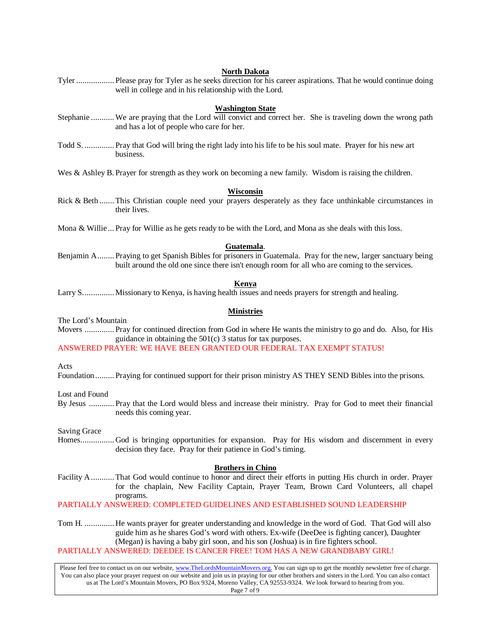#### **North Dakota**

Tyler .................. Please pray for Tyler as he seeks direction for his career aspirations. That he would continue doing well in college and in his relationship with the Lord.

#### **Washington State**

- Stephanie ...........We are praying that the Lord will convict and correct her. She is traveling down the wrong path and has a lot of people who care for her.
- Todd S. .............. Pray that God will bring the right lady into his life to be his soul mate. Prayer for his new art business.

Wes & Ashley B. Prayer for strength as they work on becoming a new family. Wisdom is raising the children.

#### **Wisconsin**

Rick & Beth ....... This Christian couple need your prayers desperately as they face unthinkable circumstances in their lives.

Mona & Willie ... Pray for Willie as he gets ready to be with the Lord, and Mona as she deals with this loss.

#### **Guatemala**.

Benjamin A........ Praying to get Spanish Bibles for prisoners in Guatemala. Pray for the new, larger sanctuary being built around the old one since there isn't enough room for all who are coming to the services.

# **Kenya**

Larry S............... Missionary to Kenya, is having health issues and needs prayers for strength and healing.

# **Ministries**

The Lord's Mountain

Movers .............. Pray for continued direction from God in where He wants the ministry to go and do. Also, for His guidance in obtaining the 501(c) 3 status for tax purposes.

ANSWERED PRAYER: WE HAVE BEEN GRANTED OUR FEDERAL TAX EXEMPT STATUS!

Acts

Foundation......... Praying for continued support for their prison ministry AS THEY SEND Bibles into the prisons.

Lost and Found

By Jesus ............ Pray that the Lord would bless and increase their ministry. Pray for God to meet their financial needs this coming year.

Saving Grace

Homes................ God is bringing opportunities for expansion. Pray for His wisdom and discernment in every decision they face. Pray for their patience in God's timing.

#### **Brothers in Chino**

Facility A........... That God would continue to honor and direct their efforts in putting His church in order. Prayer for the chaplain, New Facility Captain, Prayer Team, Brown Card Volunteers, all chapel programs.

PARTIALLY ANSWERED: COMPLETED GUIDELINES AND ESTABLISHED SOUND LEADERSHIP

Tom H. .............. He wants prayer for greater understanding and knowledge in the word of God. That God will also guide him as he shares God's word with others. Ex-wife (DeeDee is fighting cancer), Daughter (Megan) is having a baby girl soon, and his son (Joshua) is in fire fighters school.

PARTIALLY ANSWERED: DEEDEE IS CANCER FREE! TOM HAS A NEW GRANDBABY GIRL!

Please feel free to contact us on our website, ww[w.TheLordsMountainMovers.o](http://www.thelordsmountainmovers.org/)rg. You can sign up to get the monthly newsletter free of charge. You can also place your prayer request on our website and join us in praying for our other brothers and sisters in the Lord. You can also contact us at The Lord's Mountain Movers, PO Box 9324, Moreno Valley, CA 92553-9324. We look forward to hearing from you. Page 7 of 9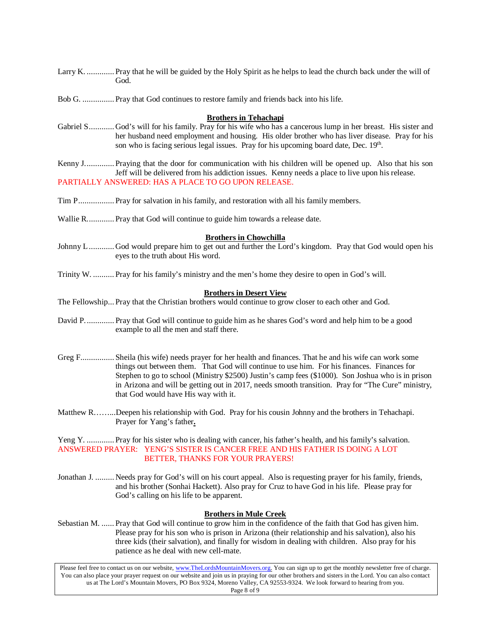- Larry K. ............. Pray that he will be guided by the Holy Spirit as he helps to lead the church back under the will of God.
- Bob G. ............... Pray that God continues to restore family and friends back into his life.

#### **Brothers in Tehachapi**

Gabriel S............ God's will for his family. Pray for his wife who has a cancerous lump in her breast. His sister and her husband need employment and housing. His older brother who has liver disease. Pray for his son who is facing serious legal issues. Pray for his upcoming board date, Dec. 19th.

Kenny J.............. Praying that the door for communication with his children will be opened up. Also that his son Jeff will be delivered from his addiction issues. Kenny needs a place to live upon his release. PARTIALLY ANSWERED: HAS A PLACE TO GO UPON RELEASE.

- Tim P................. Pray for salvation in his family, and restoration with all his family members.
- Wallie R............. Pray that God will continue to guide him towards a release date.

#### **Brothers in Chowchilla**

- Johnny L............ God would prepare him to get out and further the Lord's kingdom. Pray that God would open his eyes to the truth about His word.
- Trinity W. .......... Pray for his family's ministry and the men's home they desire to open in God's will.

#### **Brothers in Desert View**

The Fellowship... Pray that the Christian brothers would continue to grow closer to each other and God.

- David P.............. Pray that God will continue to guide him as he shares God's word and help him to be a good example to all the men and staff there.
- Greg F................ Sheila (his wife) needs prayer for her health and finances. That he and his wife can work some things out between them. That God will continue to use him. For his finances. Finances for Stephen to go to school (Ministry \$2500) Justin's camp fees (\$1000). Son Joshua who is in prison in Arizona and will be getting out in 2017, needs smooth transition. Pray for "The Cure" ministry, that God would have His way with it.
- Matthew R……...Deepen his relationship with God. Pray for his cousin Johnny and the brothers in Tehachapi. Prayer for Yang's father**.**

Yeng Y. ............. Pray for his sister who is dealing with cancer, his father's health, and his family's salvation. ANSWERED PRAYER: YENG'S SISTER IS CANCER FREE AND HIS FATHER IS DOING A LOT BETTER, THANKS FOR YOUR PRAYERS!

Jonathan J. ......... Needs pray for God's will on his court appeal. Also is requesting prayer for his family, friends, and his brother (Sonhai Hackett). Also pray for Cruz to have God in his life. Please pray for God's calling on his life to be apparent.

# **Brothers in Mule Creek**

Sebastian M. ...... Pray that God will continue to grow him in the confidence of the faith that God has given him. Please pray for his son who is prison in Arizona (their relationship and his salvation), also his three kids (their salvation), and finally for wisdom in dealing with children. Also pray for his patience as he deal with new cell-mate.

Please feel free to contact us on our website, ww[w.TheLordsMountainMovers.o](http://www.thelordsmountainmovers.org/)rg. You can sign up to get the monthly newsletter free of charge. You can also place your prayer request on our website and join us in praying for our other brothers and sisters in the Lord. You can also contact us at The Lord's Mountain Movers, PO Box 9324, Moreno Valley, CA 92553-9324. We look forward to hearing from you. Page 8 of 9